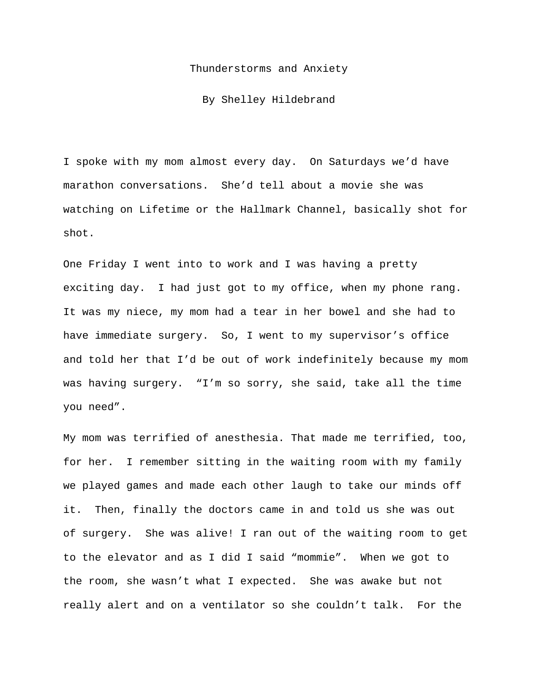## Thunderstorms and Anxiety

By Shelley Hildebrand

I spoke with my mom almost every day. On Saturdays we'd have marathon conversations. She'd tell about a movie she was watching on Lifetime or the Hallmark Channel, basically shot for shot.

One Friday I went into to work and I was having a pretty exciting day. I had just got to my office, when my phone rang. It was my niece, my mom had a tear in her bowel and she had to have immediate surgery. So, I went to my supervisor's office and told her that I'd be out of work indefinitely because my mom was having surgery. "I'm so sorry, she said, take all the time you need".

My mom was terrified of anesthesia. That made me terrified, too, for her. I remember sitting in the waiting room with my family we played games and made each other laugh to take our minds off it. Then, finally the doctors came in and told us she was out of surgery. She was alive! I ran out of the waiting room to get to the elevator and as I did I said "mommie". When we got to the room, she wasn't what I expected. She was awake but not really alert and on a ventilator so she couldn't talk. For the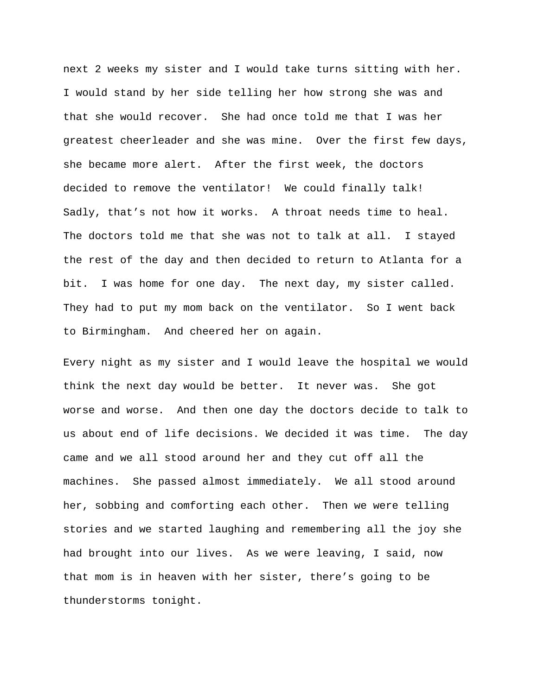next 2 weeks my sister and I would take turns sitting with her. I would stand by her side telling her how strong she was and that she would recover. She had once told me that I was her greatest cheerleader and she was mine. Over the first few days, she became more alert. After the first week, the doctors decided to remove the ventilator! We could finally talk! Sadly, that's not how it works. A throat needs time to heal. The doctors told me that she was not to talk at all. I stayed the rest of the day and then decided to return to Atlanta for a bit. I was home for one day. The next day, my sister called. They had to put my mom back on the ventilator. So I went back to Birmingham. And cheered her on again.

Every night as my sister and I would leave the hospital we would think the next day would be better. It never was. She got worse and worse. And then one day the doctors decide to talk to us about end of life decisions. We decided it was time. The day came and we all stood around her and they cut off all the machines. She passed almost immediately. We all stood around her, sobbing and comforting each other. Then we were telling stories and we started laughing and remembering all the joy she had brought into our lives. As we were leaving, I said, now that mom is in heaven with her sister, there's going to be thunderstorms tonight.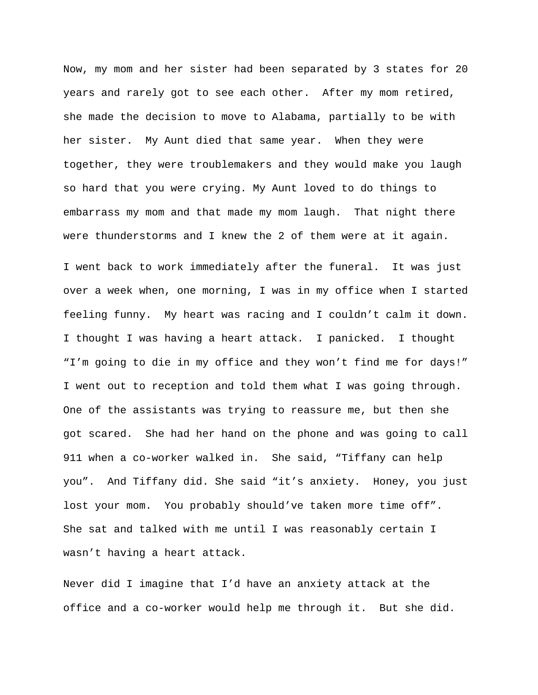Now, my mom and her sister had been separated by 3 states for 20 years and rarely got to see each other. After my mom retired, she made the decision to move to Alabama, partially to be with her sister. My Aunt died that same year. When they were together, they were troublemakers and they would make you laugh so hard that you were crying. My Aunt loved to do things to embarrass my mom and that made my mom laugh. That night there were thunderstorms and I knew the 2 of them were at it again.

I went back to work immediately after the funeral. It was just over a week when, one morning, I was in my office when I started feeling funny. My heart was racing and I couldn't calm it down. I thought I was having a heart attack. I panicked. I thought "I'm going to die in my office and they won't find me for days!" I went out to reception and told them what I was going through. One of the assistants was trying to reassure me, but then she got scared. She had her hand on the phone and was going to call 911 when a co-worker walked in. She said, "Tiffany can help you". And Tiffany did. She said "it's anxiety. Honey, you just lost your mom. You probably should've taken more time off". She sat and talked with me until I was reasonably certain I wasn't having a heart attack.

Never did I imagine that I'd have an anxiety attack at the office and a co-worker would help me through it. But she did.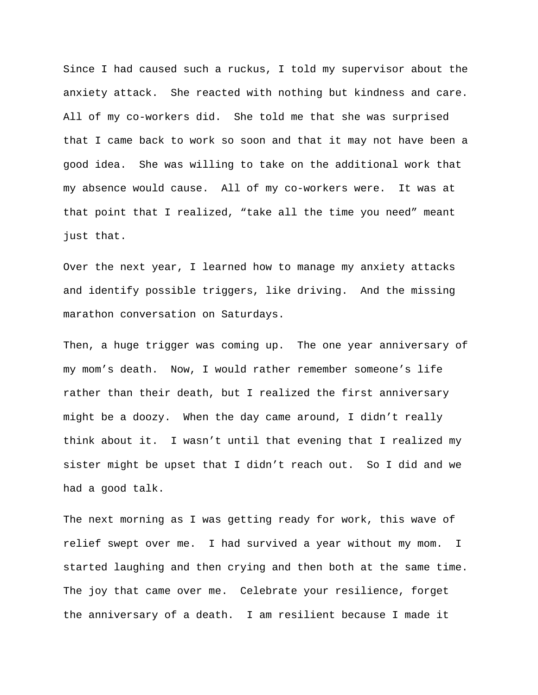Since I had caused such a ruckus, I told my supervisor about the anxiety attack. She reacted with nothing but kindness and care. All of my co-workers did. She told me that she was surprised that I came back to work so soon and that it may not have been a good idea. She was willing to take on the additional work that my absence would cause. All of my co-workers were. It was at that point that I realized, "take all the time you need" meant just that.

Over the next year, I learned how to manage my anxiety attacks and identify possible triggers, like driving. And the missing marathon conversation on Saturdays.

Then, a huge trigger was coming up. The one year anniversary of my mom's death. Now, I would rather remember someone's life rather than their death, but I realized the first anniversary might be a doozy. When the day came around, I didn't really think about it. I wasn't until that evening that I realized my sister might be upset that I didn't reach out. So I did and we had a good talk.

The next morning as I was getting ready for work, this wave of relief swept over me. I had survived a year without my mom. I started laughing and then crying and then both at the same time. The joy that came over me. Celebrate your resilience, forget the anniversary of a death. I am resilient because I made it